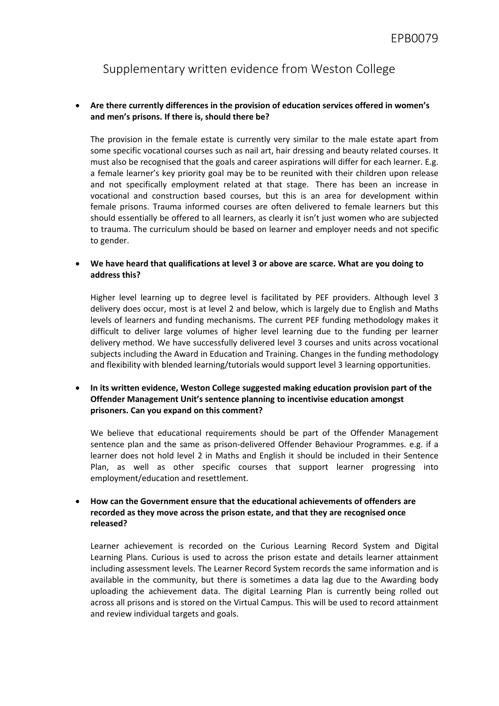Supplementary written evidence from Weston College

## **Are there currently differences in the provision of education services offered in women's and men's prisons. If there is, should there be?**

The provision in the female estate is currently very similar to the male estate apart from some specific vocational courses such as nail art, hair dressing and beauty related courses. It must also be recognised that the goals and career aspirations will differ for each learner. E.g. a female learner's key priority goal may be to be reunited with their children upon release and not specifically employment related at that stage. There has been an increase in vocational and construction based courses, but this is an area for development within female prisons. Trauma informed courses are often delivered to female learners but this should essentially be offered to all learners, as clearly it isn't just women who are subjected to trauma. The curriculum should be based on learner and employer needs and not specific to gender.

## **We have heard that qualifications at level 3 or above are scarce. What are you doing to address this?**

Higher level learning up to degree level is facilitated by PEF providers. Although level 3 delivery does occur, most is at level 2 and below, which is largely due to English and Maths levels of learners and funding mechanisms. The current PEF funding methodology makes it difficult to deliver large volumes of higher level learning due to the funding per learner delivery method. We have successfully delivered level 3 courses and units across vocational subjects including the Award in Education and Training. Changes in the funding methodology and flexibility with blended learning/tutorials would support level 3 learning opportunities.

 **In its written evidence, Weston College suggested making education provision part of the Offender Management Unit's sentence planning to incentivise education amongst prisoners. Can you expand on this comment?**

We believe that educational requirements should be part of the Offender Management sentence plan and the same as prison-delivered Offender Behaviour Programmes. e.g. if a learner does not hold level 2 in Maths and English it should be included in their Sentence Plan, as well as other specific courses that support learner progressing into employment/education and resettlement.

## **How can the Government ensure that the educational achievements of offenders are recorded as they move across the prison estate, and that they are recognised once released?**

Learner achievement is recorded on the Curious Learning Record System and Digital Learning Plans. Curious is used to across the prison estate and details learner attainment including assessment levels. The Learner Record System records the same information and is available in the community, but there is sometimes a data lag due to the Awarding body uploading the achievement data. The digital Learning Plan is currently being rolled out across all prisons and is stored on the Virtual Campus. This will be used to record attainment and review individual targets and goals.